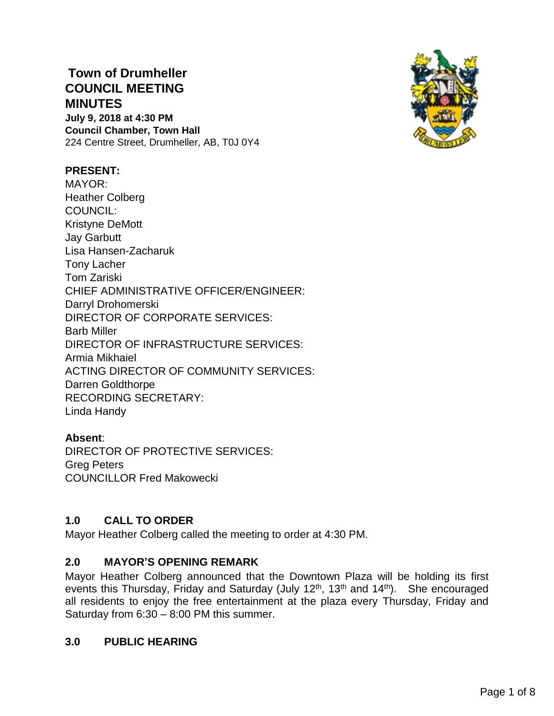# **Town of Drumheller COUNCIL MEETING MINUTES July 9, 2018 at 4:30 PM Council Chamber, Town Hall**

224 Centre Street, Drumheller, AB, T0J 0Y4



### **PRESENT:**

MAYOR: Heather Colberg COUNCIL: Kristyne DeMott Jay Garbutt Lisa Hansen-Zacharuk Tony Lacher Tom Zariski CHIEF ADMINISTRATIVE OFFICER/ENGINEER: Darryl Drohomerski DIRECTOR OF CORPORATE SERVICES: Barb Miller DIRECTOR OF INFRASTRUCTURE SERVICES: Armia Mikhaiel ACTING DIRECTOR OF COMMUNITY SERVICES: Darren Goldthorpe RECORDING SECRETARY: Linda Handy

#### **Absent**:

DIRECTOR OF PROTECTIVE SERVICES: Greg Peters COUNCILLOR Fred Makowecki

#### **1.0 CALL TO ORDER**

Mayor Heather Colberg called the meeting to order at 4:30 PM.

#### **2.0 MAYOR'S OPENING REMARK**

Mayor Heather Colberg announced that the Downtown Plaza will be holding its first events this Thursday, Friday and Saturday (July 12<sup>th</sup>, 13<sup>th</sup> and 14<sup>th</sup>). She encouraged all residents to enjoy the free entertainment at the plaza every Thursday, Friday and Saturday from 6:30 – 8:00 PM this summer.

#### **3.0 PUBLIC HEARING**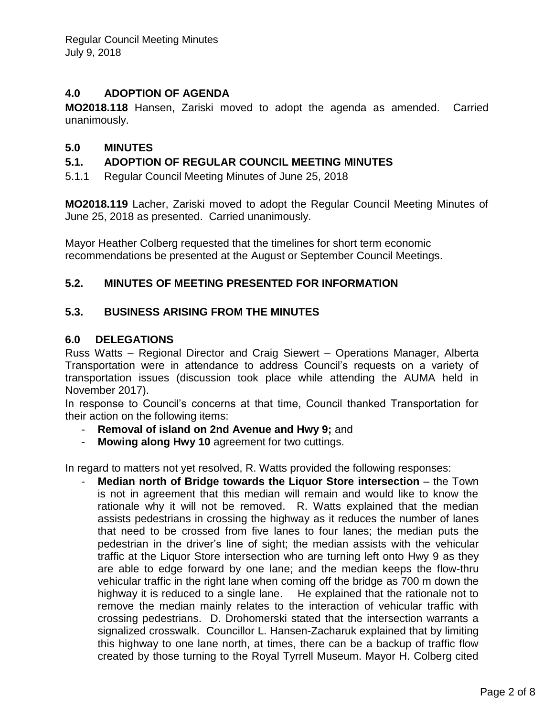### **4.0 ADOPTION OF AGENDA**

**MO2018.118** Hansen, Zariski moved to adopt the agenda as amended. Carried unanimously.

### **5.0 MINUTES**

### **5.1. ADOPTION OF REGULAR COUNCIL MEETING MINUTES**

5.1.1 Regular Council Meeting Minutes of June 25, 2018

**MO2018.119** Lacher, Zariski moved to adopt the Regular Council Meeting Minutes of June 25, 2018 as presented. Carried unanimously.

Mayor Heather Colberg requested that the timelines for short term economic recommendations be presented at the August or September Council Meetings.

### **5.2. MINUTES OF MEETING PRESENTED FOR INFORMATION**

### **5.3. BUSINESS ARISING FROM THE MINUTES**

#### **6.0 DELEGATIONS**

Russ Watts – Regional Director and Craig Siewert – Operations Manager, Alberta Transportation were in attendance to address Council's requests on a variety of transportation issues (discussion took place while attending the AUMA held in November 2017).

In response to Council's concerns at that time, Council thanked Transportation for their action on the following items:

- **Removal of island on 2nd Avenue and Hwy 9;** and
- **Mowing along Hwy 10** agreement for two cuttings.

In regard to matters not yet resolved, R. Watts provided the following responses:

**Median north of Bridge towards the Liguor Store intersection** – the Town is not in agreement that this median will remain and would like to know the rationale why it will not be removed. R. Watts explained that the median assists pedestrians in crossing the highway as it reduces the number of lanes that need to be crossed from five lanes to four lanes; the median puts the pedestrian in the driver's line of sight; the median assists with the vehicular traffic at the Liquor Store intersection who are turning left onto Hwy 9 as they are able to edge forward by one lane; and the median keeps the flow-thru vehicular traffic in the right lane when coming off the bridge as 700 m down the highway it is reduced to a single lane. He explained that the rationale not to remove the median mainly relates to the interaction of vehicular traffic with crossing pedestrians. D. Drohomerski stated that the intersection warrants a signalized crosswalk. Councillor L. Hansen-Zacharuk explained that by limiting this highway to one lane north, at times, there can be a backup of traffic flow created by those turning to the Royal Tyrrell Museum. Mayor H. Colberg cited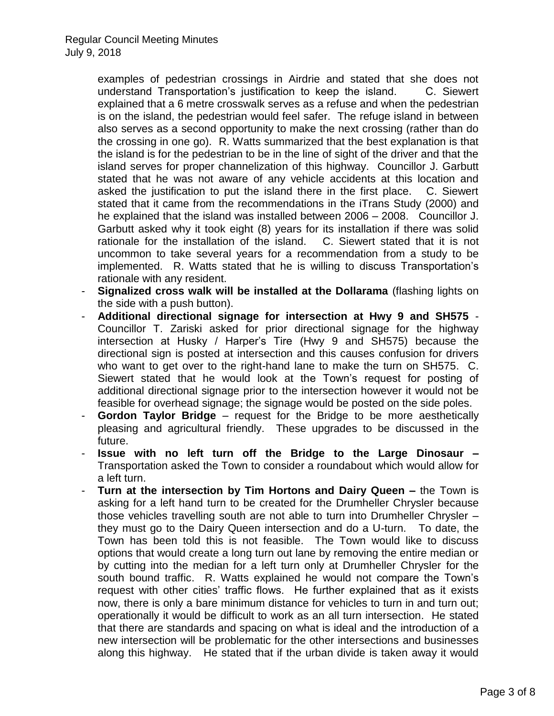examples of pedestrian crossings in Airdrie and stated that she does not understand Transportation's justification to keep the island. C. Siewert explained that a 6 metre crosswalk serves as a refuse and when the pedestrian is on the island, the pedestrian would feel safer. The refuge island in between also serves as a second opportunity to make the next crossing (rather than do the crossing in one go). R. Watts summarized that the best explanation is that the island is for the pedestrian to be in the line of sight of the driver and that the island serves for proper channelization of this highway. Councillor J. Garbutt stated that he was not aware of any vehicle accidents at this location and asked the justification to put the island there in the first place. C. Siewert stated that it came from the recommendations in the iTrans Study (2000) and he explained that the island was installed between 2006 – 2008. Councillor J. Garbutt asked why it took eight (8) years for its installation if there was solid rationale for the installation of the island. C. Siewert stated that it is not uncommon to take several years for a recommendation from a study to be implemented. R. Watts stated that he is willing to discuss Transportation's rationale with any resident.

- **Signalized cross walk will be installed at the Dollarama** (flashing lights on the side with a push button).
- **Additional directional signage for intersection at Hwy 9 and SH575** Councillor T. Zariski asked for prior directional signage for the highway intersection at Husky / Harper's Tire (Hwy 9 and SH575) because the directional sign is posted at intersection and this causes confusion for drivers who want to get over to the right-hand lane to make the turn on SH575. C. Siewert stated that he would look at the Town's request for posting of additional directional signage prior to the intersection however it would not be feasible for overhead signage; the signage would be posted on the side poles.
- **Gordon Taylor Bridge** request for the Bridge to be more aesthetically pleasing and agricultural friendly. These upgrades to be discussed in the future.
- **Issue with no left turn off the Bridge to the Large Dinosaur –** Transportation asked the Town to consider a roundabout which would allow for a left turn.
- **Turn at the intersection by Tim Hortons and Dairy Queen –** the Town is asking for a left hand turn to be created for the Drumheller Chrysler because those vehicles travelling south are not able to turn into Drumheller Chrysler – they must go to the Dairy Queen intersection and do a U-turn. To date, the Town has been told this is not feasible. The Town would like to discuss options that would create a long turn out lane by removing the entire median or by cutting into the median for a left turn only at Drumheller Chrysler for the south bound traffic. R. Watts explained he would not compare the Town's request with other cities' traffic flows. He further explained that as it exists now, there is only a bare minimum distance for vehicles to turn in and turn out; operationally it would be difficult to work as an all turn intersection. He stated that there are standards and spacing on what is ideal and the introduction of a new intersection will be problematic for the other intersections and businesses along this highway. He stated that if the urban divide is taken away it would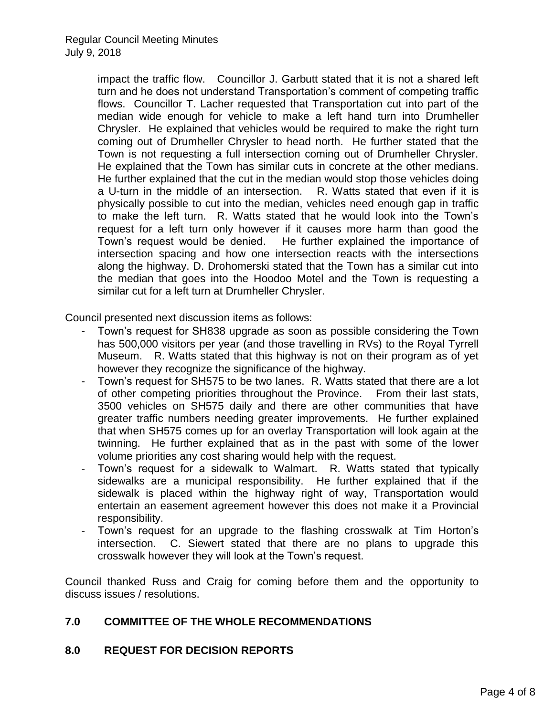impact the traffic flow. Councillor J. Garbutt stated that it is not a shared left turn and he does not understand Transportation's comment of competing traffic flows. Councillor T. Lacher requested that Transportation cut into part of the median wide enough for vehicle to make a left hand turn into Drumheller Chrysler. He explained that vehicles would be required to make the right turn coming out of Drumheller Chrysler to head north. He further stated that the Town is not requesting a full intersection coming out of Drumheller Chrysler. He explained that the Town has similar cuts in concrete at the other medians. He further explained that the cut in the median would stop those vehicles doing a U-turn in the middle of an intersection. R. Watts stated that even if it is physically possible to cut into the median, vehicles need enough gap in traffic to make the left turn. R. Watts stated that he would look into the Town's request for a left turn only however if it causes more harm than good the Town's request would be denied. He further explained the importance of intersection spacing and how one intersection reacts with the intersections along the highway. D. Drohomerski stated that the Town has a similar cut into the median that goes into the Hoodoo Motel and the Town is requesting a similar cut for a left turn at Drumheller Chrysler.

Council presented next discussion items as follows:

- Town's request for SH838 upgrade as soon as possible considering the Town has 500,000 visitors per year (and those travelling in RVs) to the Royal Tyrrell Museum. R. Watts stated that this highway is not on their program as of yet however they recognize the significance of the highway.
- Town's request for SH575 to be two lanes. R. Watts stated that there are a lot of other competing priorities throughout the Province. From their last stats, 3500 vehicles on SH575 daily and there are other communities that have greater traffic numbers needing greater improvements. He further explained that when SH575 comes up for an overlay Transportation will look again at the twinning. He further explained that as in the past with some of the lower volume priorities any cost sharing would help with the request.
- Town's request for a sidewalk to Walmart. R. Watts stated that typically sidewalks are a municipal responsibility. He further explained that if the sidewalk is placed within the highway right of way, Transportation would entertain an easement agreement however this does not make it a Provincial responsibility.
- Town's request for an upgrade to the flashing crosswalk at Tim Horton's intersection. C. Siewert stated that there are no plans to upgrade this crosswalk however they will look at the Town's request.

Council thanked Russ and Craig for coming before them and the opportunity to discuss issues / resolutions.

## **7.0 COMMITTEE OF THE WHOLE RECOMMENDATIONS**

## **8.0 REQUEST FOR DECISION REPORTS**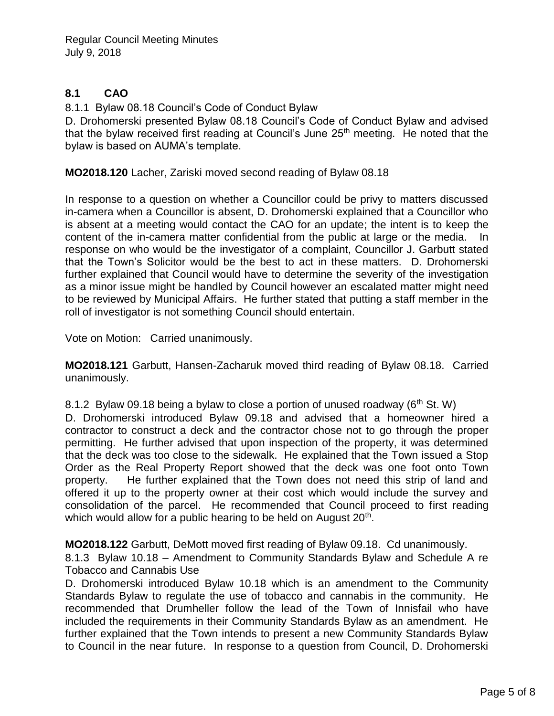## **8.1 CAO**

8.1.1 Bylaw 08.18 Council's Code of Conduct Bylaw

D. Drohomerski presented Bylaw 08.18 Council's Code of Conduct Bylaw and advised that the bylaw received first reading at Council's June 25<sup>th</sup> meeting. He noted that the bylaw is based on AUMA's template.

**MO2018.120** Lacher, Zariski moved second reading of Bylaw 08.18

In response to a question on whether a Councillor could be privy to matters discussed in-camera when a Councillor is absent, D. Drohomerski explained that a Councillor who is absent at a meeting would contact the CAO for an update; the intent is to keep the content of the in-camera matter confidential from the public at large or the media. In response on who would be the investigator of a complaint, Councillor J. Garbutt stated that the Town's Solicitor would be the best to act in these matters. D. Drohomerski further explained that Council would have to determine the severity of the investigation as a minor issue might be handled by Council however an escalated matter might need to be reviewed by Municipal Affairs. He further stated that putting a staff member in the roll of investigator is not something Council should entertain.

Vote on Motion: Carried unanimously.

**MO2018.121** Garbutt, Hansen-Zacharuk moved third reading of Bylaw 08.18. Carried unanimously.

8.1.2 Bylaw 09.18 being a bylaw to close a portion of unused roadway ( $6<sup>th</sup>$  St. W)

D. Drohomerski introduced Bylaw 09.18 and advised that a homeowner hired a contractor to construct a deck and the contractor chose not to go through the proper permitting. He further advised that upon inspection of the property, it was determined that the deck was too close to the sidewalk. He explained that the Town issued a Stop Order as the Real Property Report showed that the deck was one foot onto Town property. He further explained that the Town does not need this strip of land and offered it up to the property owner at their cost which would include the survey and consolidation of the parcel. He recommended that Council proceed to first reading which would allow for a public hearing to be held on August 20<sup>th</sup>.

**MO2018.122** Garbutt, DeMott moved first reading of Bylaw 09.18. Cd unanimously.

8.1.3 Bylaw 10.18 – Amendment to Community Standards Bylaw and Schedule A re Tobacco and Cannabis Use

D. Drohomerski introduced Bylaw 10.18 which is an amendment to the Community Standards Bylaw to regulate the use of tobacco and cannabis in the community. He recommended that Drumheller follow the lead of the Town of Innisfail who have included the requirements in their Community Standards Bylaw as an amendment. He further explained that the Town intends to present a new Community Standards Bylaw to Council in the near future. In response to a question from Council, D. Drohomerski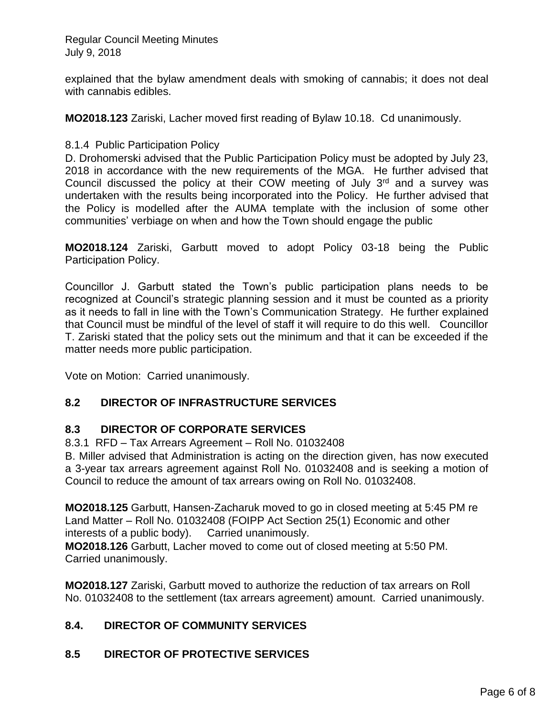Regular Council Meeting Minutes July 9, 2018

explained that the bylaw amendment deals with smoking of cannabis; it does not deal with cannabis edibles.

**MO2018.123** Zariski, Lacher moved first reading of Bylaw 10.18. Cd unanimously.

8.1.4 Public Participation Policy

D. Drohomerski advised that the Public Participation Policy must be adopted by July 23, 2018 in accordance with the new requirements of the MGA. He further advised that Council discussed the policy at their COW meeting of July  $3<sup>rd</sup>$  and a survey was undertaken with the results being incorporated into the Policy. He further advised that the Policy is modelled after the AUMA template with the inclusion of some other communities' verbiage on when and how the Town should engage the public

**MO2018.124** Zariski, Garbutt moved to adopt Policy 03-18 being the Public Participation Policy.

Councillor J. Garbutt stated the Town's public participation plans needs to be recognized at Council's strategic planning session and it must be counted as a priority as it needs to fall in line with the Town's Communication Strategy. He further explained that Council must be mindful of the level of staff it will require to do this well. Councillor T. Zariski stated that the policy sets out the minimum and that it can be exceeded if the matter needs more public participation.

Vote on Motion: Carried unanimously.

## **8.2 DIRECTOR OF INFRASTRUCTURE SERVICES**

#### **8.3 DIRECTOR OF CORPORATE SERVICES**

8.3.1 RFD – Tax Arrears Agreement – Roll No. 01032408

B. Miller advised that Administration is acting on the direction given, has now executed a 3-year tax arrears agreement against Roll No. 01032408 and is seeking a motion of Council to reduce the amount of tax arrears owing on Roll No. 01032408.

**MO2018.125** Garbutt, Hansen-Zacharuk moved to go in closed meeting at 5:45 PM re Land Matter – Roll No. 01032408 (FOIPP Act Section 25(1) Economic and other interests of a public body). Carried unanimously.

**MO2018.126** Garbutt, Lacher moved to come out of closed meeting at 5:50 PM. Carried unanimously.

**MO2018.127** Zariski, Garbutt moved to authorize the reduction of tax arrears on Roll No. 01032408 to the settlement (tax arrears agreement) amount. Carried unanimously.

## **8.4. DIRECTOR OF COMMUNITY SERVICES**

## **8.5 DIRECTOR OF PROTECTIVE SERVICES**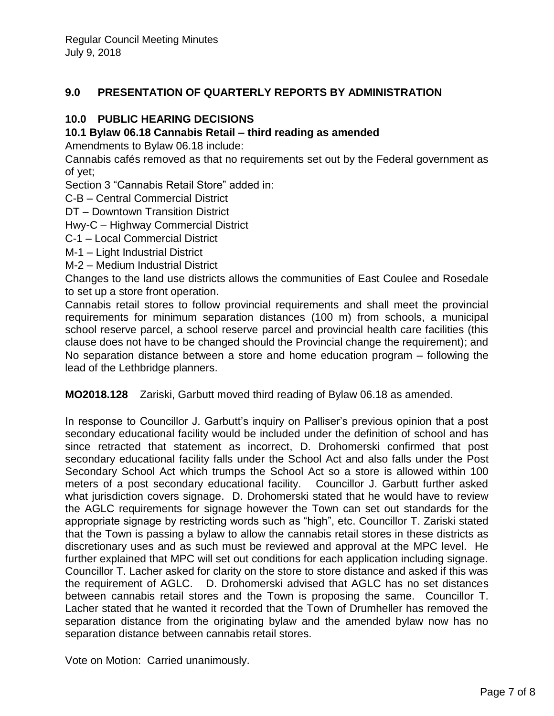## **9.0 PRESENTATION OF QUARTERLY REPORTS BY ADMINISTRATION**

## **10.0 PUBLIC HEARING DECISIONS**

### **10.1 Bylaw 06.18 Cannabis Retail – third reading as amended**

Amendments to Bylaw 06.18 include:

Cannabis cafés removed as that no requirements set out by the Federal government as of yet;

Section 3 "Cannabis Retail Store" added in:

C-B – Central Commercial District

DT – Downtown Transition District

Hwy-C – Highway Commercial District

C-1 – Local Commercial District

- M-1 Light Industrial District
- M-2 Medium Industrial District

Changes to the land use districts allows the communities of East Coulee and Rosedale to set up a store front operation.

Cannabis retail stores to follow provincial requirements and shall meet the provincial requirements for minimum separation distances (100 m) from schools, a municipal school reserve parcel, a school reserve parcel and provincial health care facilities (this clause does not have to be changed should the Provincial change the requirement); and No separation distance between a store and home education program – following the lead of the Lethbridge planners.

**MO2018.128** Zariski, Garbutt moved third reading of Bylaw 06.18 as amended.

In response to Councillor J. Garbutt's inquiry on Palliser's previous opinion that a post secondary educational facility would be included under the definition of school and has since retracted that statement as incorrect, D. Drohomerski confirmed that post secondary educational facility falls under the School Act and also falls under the Post Secondary School Act which trumps the School Act so a store is allowed within 100 meters of a post secondary educational facility. Councillor J. Garbutt further asked what jurisdiction covers signage. D. Drohomerski stated that he would have to review the AGLC requirements for signage however the Town can set out standards for the appropriate signage by restricting words such as "high", etc. Councillor T. Zariski stated that the Town is passing a bylaw to allow the cannabis retail stores in these districts as discretionary uses and as such must be reviewed and approval at the MPC level. He further explained that MPC will set out conditions for each application including signage. Councillor T. Lacher asked for clarity on the store to store distance and asked if this was the requirement of AGLC. D. Drohomerski advised that AGLC has no set distances between cannabis retail stores and the Town is proposing the same. Councillor T. Lacher stated that he wanted it recorded that the Town of Drumheller has removed the separation distance from the originating bylaw and the amended bylaw now has no separation distance between cannabis retail stores.

Vote on Motion: Carried unanimously.